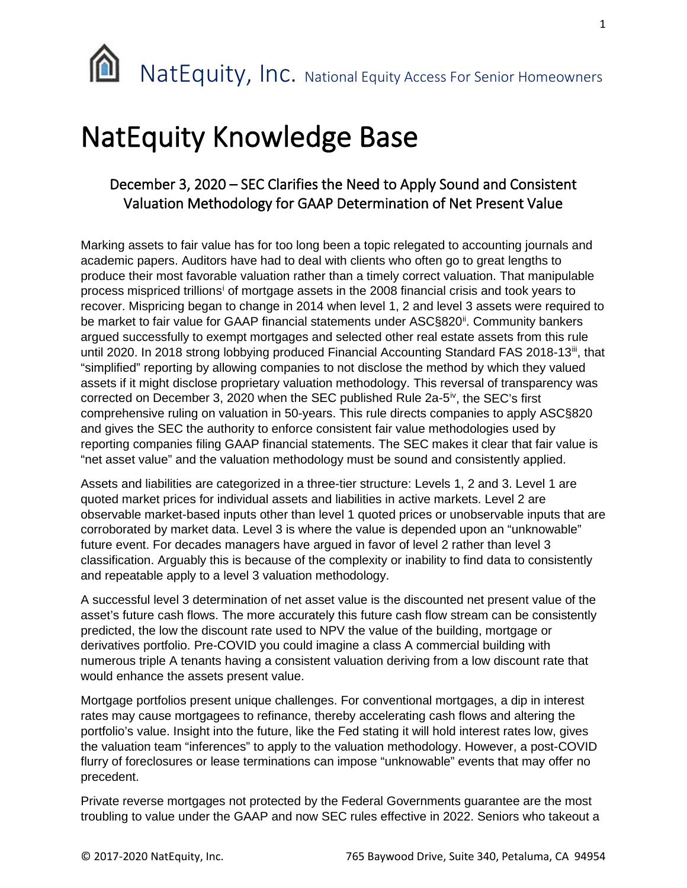## NatEquity Knowledge Base

## December 3, 2020 – SEC Clarifies the Need to Apply Sound and Consistent Valuation Methodology for GAAP Determination of Net Present Value

Marking assets to fair value has for too long been a topic relegated to accounting journals and academic papers. Auditors have had to deal with clients who often go to great lengths to produce their most favorable valuation rather than a timely correct valuation. That manipulable process mispriced trillions[i](#page-1-0) of mortgage assets in the 2008 financial crisis and took years to recover. Mispricing began to change in 2014 when level 1, 2 and level 3 assets were required to be market to fair value for GAAP financial statements under ASC§820<sup>ii</sup>. Community bankers argued successfully to exempt mortgages and selected other real estate assets from this rule until 2020. In 2018 strong lobbying produced Financial Accounting Standard FAS 2018-13<sup>iii</sup>, that "simplified" reporting by allowing companies to not disclose the method by which they valued assets if it might disclose proprietary valuation methodology. This reversal of transparency was corrected on December 3, 2020 when the SEC published Rule 2a-5<sup>iv</sup>, the SEC's first comprehensive ruling on valuation in 50-years. This rule directs companies to apply ASC§820 and gives the SEC the authority to enforce consistent fair value methodologies used by reporting companies filing GAAP financial statements. The SEC makes it clear that fair value is "net asset value" and the valuation methodology must be sound and consistently applied.

Assets and liabilities are categorized in a three-tier structure: Levels 1, 2 and 3. Level 1 are quoted market prices for individual assets and liabilities in active markets. Level 2 are observable market-based inputs other than level 1 quoted prices or unobservable inputs that are corroborated by market data. Level 3 is where the value is depended upon an "unknowable" future event. For decades managers have argued in favor of level 2 rather than level 3 classification. Arguably this is because of the complexity or inability to find data to consistently and repeatable apply to a level 3 valuation methodology.

A successful level 3 determination of net asset value is the discounted net present value of the asset's future cash flows. The more accurately this future cash flow stream can be consistently predicted, the low the discount rate used to NPV the value of the building, mortgage or derivatives portfolio. Pre-COVID you could imagine a class A commercial building with numerous triple A tenants having a consistent valuation deriving from a low discount rate that would enhance the assets present value.

Mortgage portfolios present unique challenges. For conventional mortgages, a dip in interest rates may cause mortgagees to refinance, thereby accelerating cash flows and altering the portfolio's value. Insight into the future, like the Fed stating it will hold interest rates low, gives the valuation team "inferences" to apply to the valuation methodology. However, a post-COVID flurry of foreclosures or lease terminations can impose "unknowable" events that may offer no precedent.

Private reverse mortgages not protected by the Federal Governments guarantee are the most troubling to value under the GAAP and now SEC rules effective in 2022. Seniors who takeout a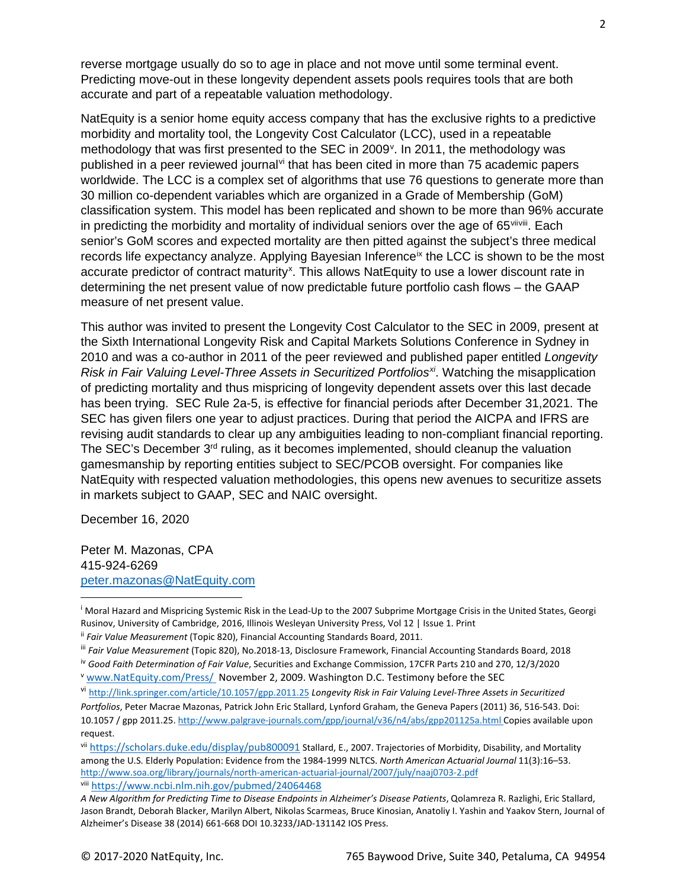reverse mortgage usually do so to age in place and not move until some terminal event. Predicting move-out in these longevity dependent assets pools requires tools that are both accurate and part of a repeatable valuation methodology.

NatEquity is a senior home equity access company that has the exclusive rights to a predictive morbidity and mortality tool, the Longevity Cost Calculator (LCC), used in a repeatable methodology that was first presented to the SEC in 2009<sup>[v](#page-1-4)</sup>. In 2011, the methodology was published in a peer re[vi](#page-1-5)ewed journal  $\dot{a}$  that has been cited in more than 75 academic papers worldwide. The LCC is a complex set of algorithms that use 76 questions to generate more than 30 million co-dependent variables which are organized in a Grade of Membership (GoM) classification system. This model has been replicated and shown to be more than 96% accurate in predicting the morbidity and mortality of individual seniors over the age of  $65<sup>viviii</sup>$  $65<sup>viviii</sup>$  $65<sup>viviii</sup>$ . Each senior's GoM scores and expected mortality are then pitted against the subject's three medical records life expectancy analyze. Applying Bayesian Inference<sup>[ix](#page-2-0)</sup> the LCC is shown to be the most accurate predictor of contract maturity<sup>[x](#page-2-1)</sup>. This allows NatEquity to use a lower discount rate in determining the net present value of now predictable future portfolio cash flows – the GAAP measure of net present value.

This author was invited to present the Longevity Cost Calculator to the SEC in 2009, present at the Sixth International Longevity Risk and Capital Markets Solutions Conference in Sydney in 2010 and was a co-author in 2011 of the peer reviewed and published paper entitled *Longevity Risk in Fair Valuing Level-Three Assets in Securitized Portfolios[xi](#page-2-2)*. Watching the misapplication of predicting mortality and thus mispricing of longevity dependent assets over this last decade has been trying. SEC Rule 2a-5, is effective for financial periods after December 31,2021. The SEC has given filers one year to adjust practices. During that period the AICPA and IFRS are revising audit standards to clear up any ambiguities leading to non-compliant financial reporting. The SEC's December  $3<sup>rd</sup>$  ruling, as it becomes implemented, should cleanup the valuation gamesmanship by reporting entities subject to SEC/PCOB oversight. For companies like NatEquity with respected valuation methodologies, this opens new avenues to securitize assets in markets subject to GAAP, SEC and NAIC oversight.

December 16, 2020

Peter M. Mazonas, CPA 415-924-6269 [peter.mazonas@NatEquity.com](mailto:peter.mazonas@NatEquity.com)

<span id="page-1-7"></span>viii <https://www.ncbi.nlm.nih.gov/pubmed/24064468>

<span id="page-1-0"></span><sup>&</sup>lt;sup>i</sup> Moral Hazard and Mispricing Systemic Risk in the Lead-Up to the 2007 Subprime Mortgage Crisis in the United States, Georgi Rusinov, University of Cambridge, 2016, Illinois Wesleyan University Press, Vol 12 | Issue 1. Print

<span id="page-1-1"></span>ii *Fair Value Measurement* (Topic 820), Financial Accounting Standards Board, 2011.

<span id="page-1-2"></span>iii *Fair Value Measurement* (Topic 820), No.2018-13, Disclosure Framework, Financial Accounting Standards Board, 2018

<span id="page-1-3"></span>iv *Good Faith Determination of Fair Value*, Securities and Exchange Commission, 17CFR Parts 210 and 270, 12/3/2020

<span id="page-1-4"></span><sup>v</sup> [www.NatEquity.com/Press/](http://www.natequity.com/Press/%20November%202) November 2, 2009. Washington D.C. Testimony before the SEC

<span id="page-1-5"></span>vi <http://link.springer.com/article/10.1057/gpp.2011.25> *Longevity Risk in Fair Valuing Level-Three Assets in Securitized Portfolios*, Peter Macrae Mazonas, Patrick John Eric Stallard, Lynford Graham, the Geneva Papers (2011) 36, 516-543. Doi: 10.1057 / gpp 2011.25.<http://www.palgrave-journals.com/gpp/journal/v36/n4/abs/gpp201125a.html> Copies available upon request.

<span id="page-1-6"></span>vii <https://scholars.duke.edu/display/pub800091> Stallard, E., 2007. Trajectories of Morbidity, Disability, and Mortality among the U.S. Elderly Population: Evidence from the 1984-1999 NLTCS. *North American Actuarial Journal* 11(3):16–53. <http://www.soa.org/library/journals/north-american-actuarial-journal/2007/july/naaj0703-2.pdf>

*A New Algorithm for Predicting Time to Disease Endpoints in Alzheimer's Disease Patients*, Qolamreza R. Razlighi, Eric Stallard, Jason Brandt, Deborah Blacker, Marilyn Albert, Nikolas Scarmeas, Bruce Kinosian, Anatoliy I. Yashin and Yaakov Stern, Journal of Alzheimer's Disease 38 (2014) 661-668 DOI 10.3233/JAD-131142 IOS Press.